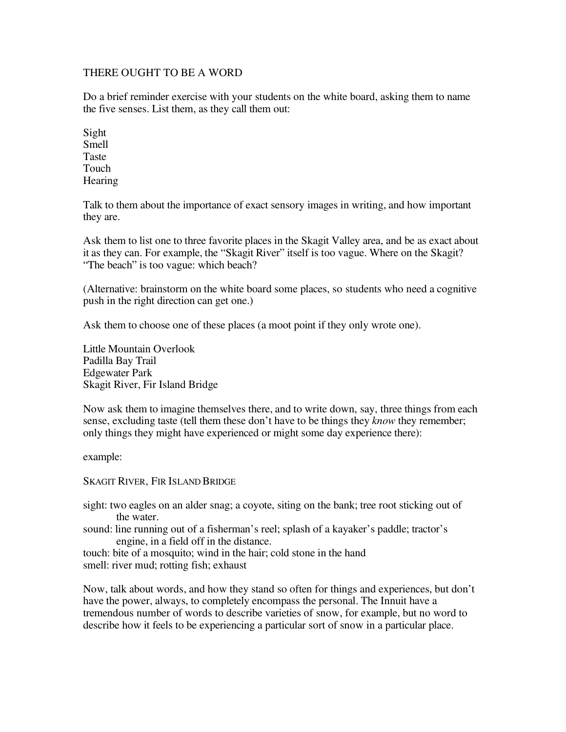## THERE OUGHT TO BE A WORD

Do a brief reminder exercise with your students on the white board, asking them to name the five senses. List them, as they call them out:

Sight Smell Taste Touch **Hearing** 

Talk to them about the importance of exact sensory images in writing, and how important they are.

Ask them to list one to three favorite places in the Skagit Valley area, and be as exact about it as they can. For example, the "Skagit River" itself is too vague. Where on the Skagit? "The beach" is too vague: which beach?

(Alternative: brainstorm on the white board some places, so students who need a cognitive push in the right direction can get one.)

Ask them to choose one of these places (a moot point if they only wrote one).

Little Mountain Overlook Padilla Bay Trail Edgewater Park Skagit River, Fir Island Bridge

Now ask them to imagine themselves there, and to write down, say, three things from each sense, excluding taste (tell them these don't have to be things they *know* they remember; only things they might have experienced or might some day experience there):

example:

SKAGIT RIVER, FIR ISLAND BRIDGE

sight: two eagles on an alder snag; a coyote, siting on the bank; tree root sticking out of the water.

sound: line running out of a fisherman's reel; splash of a kayaker's paddle; tractor's engine, in a field off in the distance.

touch: bite of a mosquito; wind in the hair; cold stone in the hand smell: river mud; rotting fish; exhaust

Now, talk about words, and how they stand so often for things and experiences, but don't have the power, always, to completely encompass the personal. The Innuit have a tremendous number of words to describe varieties of snow, for example, but no word to describe how it feels to be experiencing a particular sort of snow in a particular place.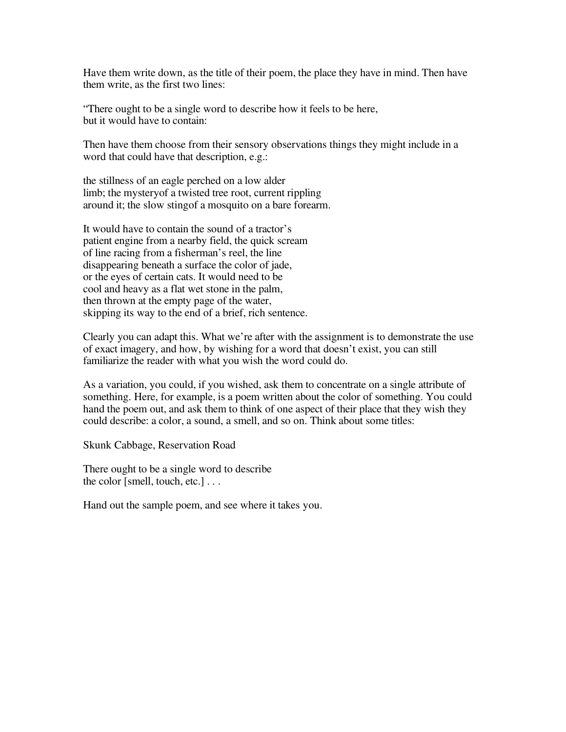Have them write down, as the title of their poem, the place they have in mind. Then have them write, as the first two lines:

"There ought to be a single word to describe how it feels to be here, but it would have to contain:

Then have them choose from their sensory observations things they might include in a word that could have that description, e.g.:

the stillness of an eagle perched on a low alder limb; the mysteryof a twisted tree root, current rippling around it; the slow stingof a mosquito on a bare forearm.

It would have to contain the sound of a tractor's patient engine from a nearby field, the quick scream of line racing from a fisherman's reel, the line disappearing beneath a surface the color of jade, or the eyes of certain cats. It would need to be cool and heavy as a flat wet stone in the palm, then thrown at the empty page of the water, skipping its way to the end of a brief, rich sentence.

Clearly you can adapt this. What we're after with the assignment is to demonstrate the use of exact imagery, and how, by wishing for a word that doesn't exist, you can still familiarize the reader with what you wish the word could do.

As a variation, you could, if you wished, ask them to concentrate on a single attribute of something. Here, for example, is a poem written about the color of something. You could hand the poem out, and ask them to think of one aspect of their place that they wish they could describe: a color, a sound, a smell, and so on. Think about some titles:

Skunk Cabbage, Reservation Road

There ought to be a single word to describe the color [smell, touch, etc.] . . .

Hand out the sample poem, and see where it takes you.